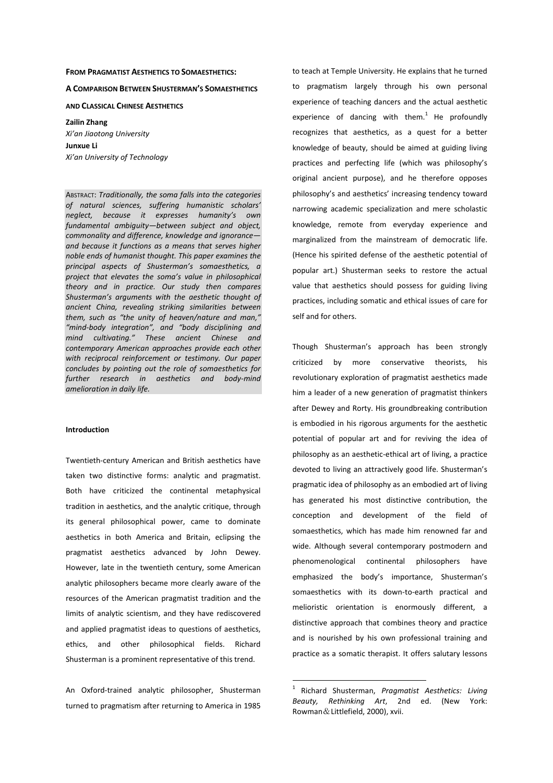# **FROM PRAGMATIST AESTHETICS TO SOMAESTHETICS:**

#### **A COMPARISON BETWEEN SHUSTERMAN'S SOMAESTHETICS**

**AND CLASSICAL CHINESE AESTHETICS** 

**Zailin Zhang**  *Xi'an Jiaotong University*  **Junxue Li**  *Xi'an University of Technology* 

ABSTRACT: *Traditionally, the soma falls into the categories of natural sciences, suffering humanistic scholars' neglect, because it expresses humanity's own fundamental ambiguity—between subject and object, commonality and difference, knowledge and ignorance and because it functions as a means that serves higher noble ends of humanist thought. This paper examines the principal aspects of Shusterman's somaesthetics, a project that elevates the soma's value in philosophical theory and in practice. Our study then compares Shusterman's arguments with the aesthetic thought of ancient China, revealing striking similarities between them, such as "the unity of heaven/nature and man," "mind-body integration", and "body disciplining and mind cultivating." These ancient Chinese and contemporary American approaches provide each other with reciprocal reinforcement or testimony. Our paper concludes by pointing out the role of somaesthetics for further research in aesthetics and body-mind amelioration in daily life.* 

#### **Introduction**

Twentieth-century American and British aesthetics have taken two distinctive forms: analytic and pragmatist. Both have criticized the continental metaphysical tradition in aesthetics, and the analytic critique, through its general philosophical power, came to dominate aesthetics in both America and Britain, eclipsing the pragmatist aesthetics advanced by John Dewey. However, late in the twentieth century, some American analytic philosophers became more clearly aware of the resources of the American pragmatist tradition and the limits of analytic scientism, and they have rediscovered and applied pragmatist ideas to questions of aesthetics, ethics, and other philosophical fields. Richard Shusterman is a prominent representative of this trend.

An Oxford-trained analytic philosopher, Shusterman turned to pragmatism after returning to America in 1985

to teach at Temple University. He explains that he turned to pragmatism largely through his own personal experience of teaching dancers and the actual aesthetic experience of dancing with them. $1$  He profoundly recognizes that aesthetics, as a quest for a better knowledge of beauty, should be aimed at guiding living practices and perfecting life (which was philosophy's original ancient purpose), and he therefore opposes philosophy's and aesthetics' increasing tendency toward narrowing academic specialization and mere scholastic knowledge, remote from everyday experience and marginalized from the mainstream of democratic life. (Hence his spirited defense of the aesthetic potential of popular art.) Shusterman seeks to restore the actual value that aesthetics should possess for guiding living practices, including somatic and ethical issues of care for self and for others.

Though Shusterman's approach has been strongly criticized by more conservative theorists, his revolutionary exploration of pragmatist aesthetics made him a leader of a new generation of pragmatist thinkers after Dewey and Rorty. His groundbreaking contribution is embodied in his rigorous arguments for the aesthetic potential of popular art and for reviving the idea of philosophy as an aesthetic-ethical art of living, a practice devoted to living an attractively good life. Shusterman's pragmatic idea of philosophy as an embodied art of living has generated his most distinctive contribution, the conception and development of the field of somaesthetics, which has made him renowned far and wide. Although several contemporary postmodern and phenomenological continental philosophers have emphasized the body's importance, Shusterman's somaesthetics with its down-to-earth practical and melioristic orientation is enormously different, a distinctive approach that combines theory and practice and is nourished by his own professional training and practice as a somatic therapist. It offers salutary lessons

<sup>1</sup> Richard Shusterman, *Pragmatist Aesthetics: Living Beauty, Rethinking Art*, 2nd ed. (New York: Rowman&Littlefield, 2000), xvii.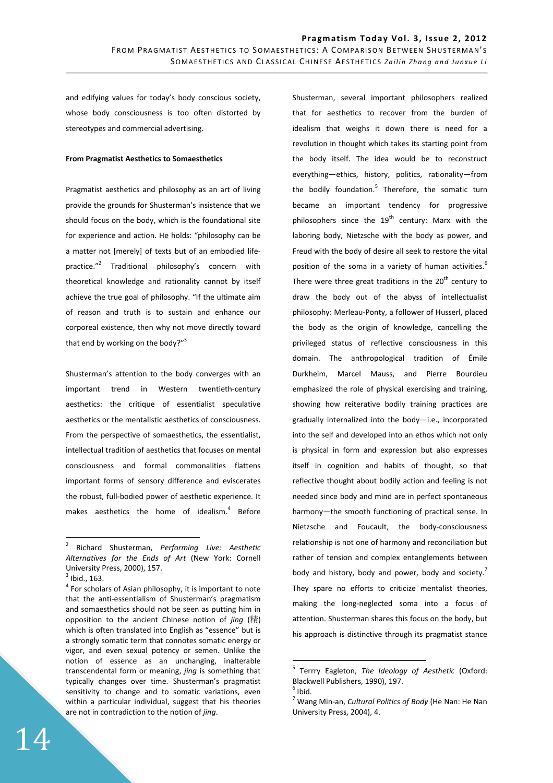and edifying values for today's body conscious society, whose body consciousness is too often distorted by stereotypes and commercial advertising.

## **From Pragmatist Aesthetics to Somaesthetics**

Pragmatist aesthetics and philosophy as an art of living provide the grounds for Shusterman's insistence that we should focus on the body, which is the foundational site for experience and action. He holds: "philosophy can be a matter not [merely] of texts but of an embodied lifepractice."<sup>2</sup> Traditional philosophy's concern with theoretical knowledge and rationality cannot by itself achieve the true goal of philosophy. "If the ultimate aim of reason and truth is to sustain and enhance our corporeal existence, then why not move directly toward that end by working on the body?"<sup>3</sup>

Shusterman's attention to the body converges with an important trend in Western twentieth-century aesthetics: the critique of essentialist speculative aesthetics or the mentalistic aesthetics of consciousness. From the perspective of somaesthetics, the essentialist, intellectual tradition of aesthetics that focuses on mental consciousness and formal commonalities flattens important forms of sensory difference and eviscerates the robust, full-bodied power of aesthetic experience. It makes aesthetics the home of idealism. $4$  Before

 $\overline{a}$ 

Shusterman, several important philosophers realized that for aesthetics to recover from the burden of idealism that weighs it down there is need for a revolution in thought which takes its starting point from the body itself. The idea would be to reconstruct everything—ethics, history, politics, rationality—from the bodily foundation.<sup>5</sup> Therefore, the somatic turn became an important tendency for progressive philosophers since the  $19^{th}$  century: Marx with the laboring body, Nietzsche with the body as power, and Freud with the body of desire all seek to restore the vital position of the soma in a variety of human activities.<sup>6</sup> There were three great traditions in the  $20<sup>th</sup>$  century to draw the body out of the abyss of intellectualist philosophy: Merleau-Ponty, a follower of Husserl, placed the body as the origin of knowledge, cancelling the privileged status of reflective consciousness in this domain. The anthropological tradition of Émile Durkheim, Marcel Mauss, and Pierre Bourdieu emphasized the role of physical exercising and training, showing how reiterative bodily training practices are gradually internalized into the body—i.e., incorporated into the self and developed into an ethos which not only is physical in form and expression but also expresses itself in cognition and habits of thought, so that reflective thought about bodily action and feeling is not needed since body and mind are in perfect spontaneous harmony—the smooth functioning of practical sense. In Nietzsche and Foucault, the body-consciousness relationship is not one of harmony and reconciliation but rather of tension and complex entanglements between body and history, body and power, body and society.<sup>7</sup> They spare no efforts to criticize mentalist theories, making the long-neglected soma into a focus of attention. Shusterman shares this focus on the body, but his approach is distinctive through its pragmatist stance

<sup>2</sup> Richard Shusterman, *Performing Live: Aesthetic Alternatives for the Ends of Art* (New York: Cornell University Press, 2000), 157.

 $3$  Ibid., 163.

<sup>&</sup>lt;sup>4</sup> For scholars of Asian philosophy, it is important to note that the anti-essentialism of Shusterman's pragmatism and somaesthetics should not be seen as putting him in opposition to the ancient Chinese notion of *jing* (精) which is often translated into English as "essence" but is a strongly somatic term that connotes somatic energy or vigor, and even sexual potency or semen. Unlike the notion of essence as an unchanging, inalterable transcendental form or meaning, *jing* is something that typically changes over time. Shusterman's pragmatist sensitivity to change and to somatic variations, even within a particular individual, suggest that his theories are not in contradiction to the notion of *jing*.

<sup>5</sup> Terrry Eagleton, *The Ideology of Aesthetic* (Oxford: Blackwell Publishers, 1990), 197.

 $<sup>6</sup>$  Ibid.</sup>

<sup>7</sup> Wang Min-an, *Cultural Politics of Body* (He Nan: He Nan University Press, 2004), 4.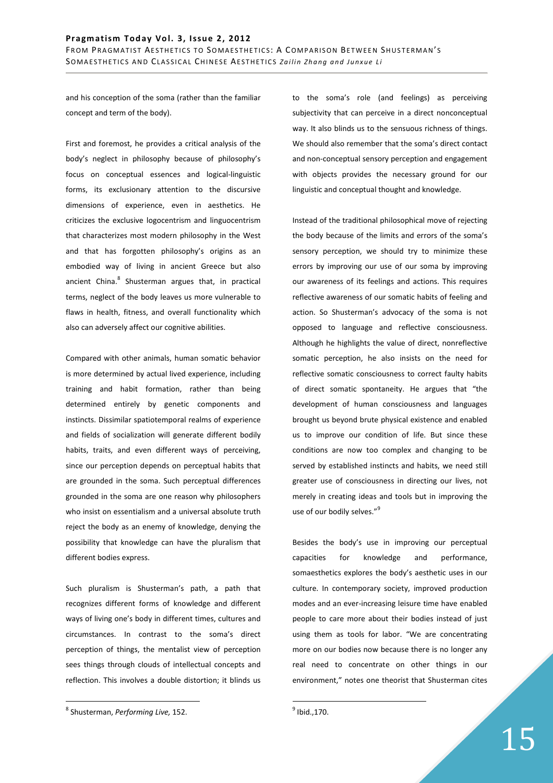and his conception of the soma (rather than the familiar concept and term of the body).

First and foremost, he provides a critical analysis of the body's neglect in philosophy because of philosophy's focus on conceptual essences and logical-linguistic forms, its exclusionary attention to the discursive dimensions of experience, even in aesthetics. He criticizes the exclusive logocentrism and linguocentrism that characterizes most modern philosophy in the West and that has forgotten philosophy's origins as an embodied way of living in ancient Greece but also ancient China.<sup>8</sup> Shusterman argues that, in practical terms, neglect of the body leaves us more vulnerable to flaws in health, fitness, and overall functionality which also can adversely affect our cognitive abilities.

Compared with other animals, human somatic behavior is more determined by actual lived experience, including training and habit formation, rather than being determined entirely by genetic components and instincts. Dissimilar spatiotemporal realms of experience and fields of socialization will generate different bodily habits, traits, and even different ways of perceiving, since our perception depends on perceptual habits that are grounded in the soma. Such perceptual differences grounded in the soma are one reason why philosophers who insist on essentialism and a universal absolute truth reject the body as an enemy of knowledge, denying the possibility that knowledge can have the pluralism that different bodies express.

Such pluralism is Shusterman's path, a path that recognizes different forms of knowledge and different ways of living one's body in different times, cultures and circumstances. In contrast to the soma's direct perception of things, the mentalist view of perception sees things through clouds of intellectual concepts and reflection. This involves a double distortion; it blinds us

 $\overline{a}$ 

to the soma's role (and feelings) as perceiving subjectivity that can perceive in a direct nonconceptual way. It also blinds us to the sensuous richness of things. We should also remember that the soma's direct contact and non-conceptual sensory perception and engagement with objects provides the necessary ground for our linguistic and conceptual thought and knowledge.

Instead of the traditional philosophical move of rejecting the body because of the limits and errors of the soma's sensory perception, we should try to minimize these errors by improving our use of our soma by improving our awareness of its feelings and actions. This requires reflective awareness of our somatic habits of feeling and action. So Shusterman's advocacy of the soma is not opposed to language and reflective consciousness. Although he highlights the value of direct, nonreflective somatic perception, he also insists on the need for reflective somatic consciousness to correct faulty habits of direct somatic spontaneity. He argues that "the development of human consciousness and languages brought us beyond brute physical existence and enabled us to improve our condition of life. But since these conditions are now too complex and changing to be served by established instincts and habits, we need still greater use of consciousness in directing our lives, not merely in creating ideas and tools but in improving the use of our bodily selves."<sup>9</sup>

Besides the body's use in improving our perceptual capacities for knowledge and performance, somaesthetics explores the body's aesthetic uses in our culture. In contemporary society, improved production modes and an ever-increasing leisure time have enabled people to care more about their bodies instead of just using them as tools for labor. "We are concentrating more on our bodies now because there is no longer any real need to concentrate on other things in our environment," notes one theorist that Shusterman cites

<sup>8</sup> Shusterman, *Performing Live,* 152.

 $^9$  Ibid., 170.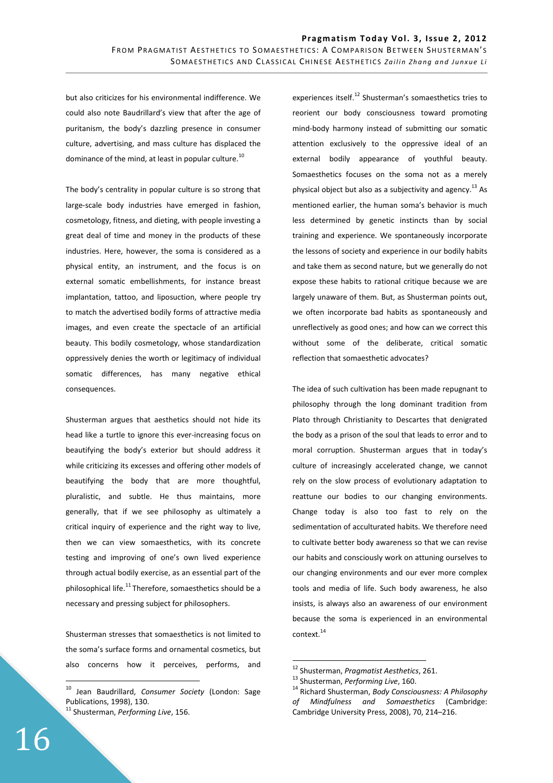but also criticizes for his environmental indifference. We could also note Baudrillard's view that after the age of puritanism, the body's dazzling presence in consumer culture, advertising, and mass culture has displaced the dominance of the mind, at least in popular culture.<sup>10</sup>

The body's centrality in popular culture is so strong that large-scale body industries have emerged in fashion, cosmetology, fitness, and dieting, with people investing a great deal of time and money in the products of these industries. Here, however, the soma is considered as a physical entity, an instrument, and the focus is on external somatic embellishments, for instance breast implantation, tattoo, and liposuction, where people try to match the advertised bodily forms of attractive media images, and even create the spectacle of an artificial beauty. This bodily cosmetology, whose standardization oppressively denies the worth or legitimacy of individual somatic differences, has many negative ethical consequences.

Shusterman argues that aesthetics should not hide its head like a turtle to ignore this ever-increasing focus on beautifying the body's exterior but should address it while criticizing its excesses and offering other models of beautifying the body that are more thoughtful, pluralistic, and subtle. He thus maintains, more generally, that if we see philosophy as ultimately a critical inquiry of experience and the right way to live, then we can view somaesthetics, with its concrete testing and improving of one's own lived experience through actual bodily exercise, as an essential part of the philosophical life. $^{11}$ Therefore, somaesthetics should be a necessary and pressing subject for philosophers.

Shusterman stresses that somaesthetics is not limited to the soma's surface forms and ornamental cosmetics, but also concerns how it perceives, performs, and experiences itself.<sup>12</sup> Shusterman's somaesthetics tries to reorient our body consciousness toward promoting mind-body harmony instead of submitting our somatic attention exclusively to the oppressive ideal of an external bodily appearance of youthful beauty. Somaesthetics focuses on the soma not as a merely physical object but also as a subjectivity and agency.<sup>13</sup> As mentioned earlier, the human soma's behavior is much less determined by genetic instincts than by social training and experience. We spontaneously incorporate the lessons of society and experience in our bodily habits and take them as second nature, but we generally do not expose these habits to rational critique because we are largely unaware of them. But, as Shusterman points out, we often incorporate bad habits as spontaneously and unreflectively as good ones; and how can we correct this without some of the deliberate, critical somatic reflection that somaesthetic advocates?

The idea of such cultivation has been made repugnant to philosophy through the long dominant tradition from Plato through Christianity to Descartes that denigrated the body as a prison of the soul that leads to error and to moral corruption. Shusterman argues that in today's culture of increasingly accelerated change, we cannot rely on the slow process of evolutionary adaptation to reattune our bodies to our changing environments. Change today is also too fast to rely on the sedimentation of acculturated habits. We therefore need to cultivate better body awareness so that we can revise our habits and consciously work on attuning ourselves to our changing environments and our ever more complex tools and media of life. Such body awareness, he also insists, is always also an awareness of our environment because the soma is experienced in an environmental context. $^{14}$ 

 $\overline{a}$ 

<sup>10</sup> Jean Baudrillard, *Consumer Society* (London: Sage Publications, 1998), 130.

<sup>11</sup> Shusterman, *Performing Live*, 156.

<sup>12</sup> Shusterman, *Pragmatist Aesthetics*, 261.

<sup>13</sup> Shusterman, *Performing Live*, 160.

<sup>14</sup> Richard Shusterman, *Body Consciousness: A Philosophy of Mindfulness and Somaesthetics* (Cambridge: Cambridge University Press, 2008), 70, 214–216.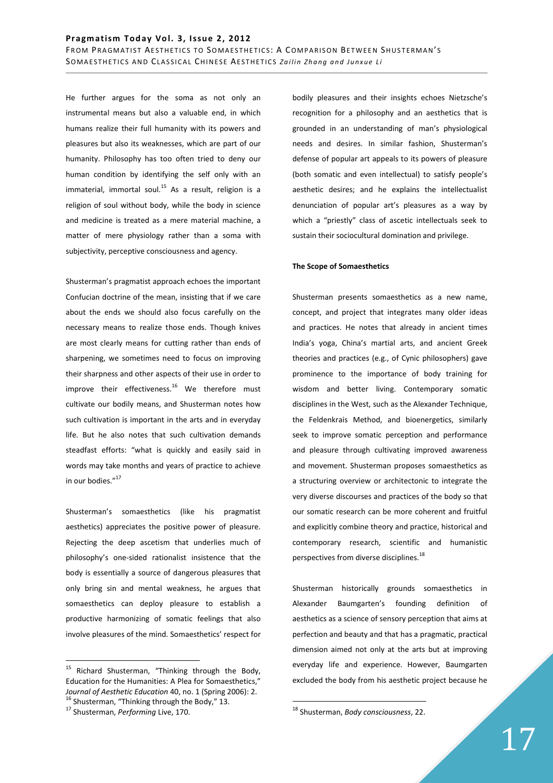FROM PRAGMATIST AESTHETICS TO SOMAESTHETICS: A COMPARISON BETWEEN SHUSTERMAN'S SOM A ESTHETICS AND CLASSICAL CHINESE A ESTHETICS Zailin Zhang and Junxue Li

He further argues for the soma as not only an instrumental means but also a valuable end, in which humans realize their full humanity with its powers and pleasures but also its weaknesses, which are part of our humanity. Philosophy has too often tried to deny our human condition by identifying the self only with an immaterial, immortal soul.<sup>15</sup> As a result, religion is a religion of soul without body, while the body in science and medicine is treated as a mere material machine, a matter of mere physiology rather than a soma with subjectivity, perceptive consciousness and agency.

Shusterman's pragmatist approach echoes the important Confucian doctrine of the mean, insisting that if we care about the ends we should also focus carefully on the necessary means to realize those ends. Though knives are most clearly means for cutting rather than ends of sharpening, we sometimes need to focus on improving their sharpness and other aspects of their use in order to improve their effectiveness. $16$  We therefore must cultivate our bodily means, and Shusterman notes how such cultivation is important in the arts and in everyday life. But he also notes that such cultivation demands steadfast efforts: "what is quickly and easily said in words may take months and years of practice to achieve in our bodies."<sup>17</sup>

Shusterman's somaesthetics (like his pragmatist aesthetics) appreciates the positive power of pleasure. Rejecting the deep ascetism that underlies much of philosophy's one-sided rationalist insistence that the body is essentially a source of dangerous pleasures that only bring sin and mental weakness, he argues that somaesthetics can deploy pleasure to establish a productive harmonizing of somatic feelings that also involve pleasures of the mind. Somaesthetics' respect for

 $\overline{a}$ 

bodily pleasures and their insights echoes Nietzsche's recognition for a philosophy and an aesthetics that is grounded in an understanding of man's physiological needs and desires. In similar fashion, Shusterman's defense of popular art appeals to its powers of pleasure (both somatic and even intellectual) to satisfy people's aesthetic desires; and he explains the intellectualist denunciation of popular art's pleasures as a way by which a "priestly" class of ascetic intellectuals seek to sustain their sociocultural domination and privilege.

#### **The Scope of Somaesthetics**

Shusterman presents somaesthetics as a new name, concept, and project that integrates many older ideas and practices. He notes that already in ancient times India's yoga, China's martial arts, and ancient Greek theories and practices (e.g., of Cynic philosophers) gave prominence to the importance of body training for wisdom and better living. Contemporary somatic disciplines in the West, such as the Alexander Technique, the Feldenkrais Method, and bioenergetics, similarly seek to improve somatic perception and performance and pleasure through cultivating improved awareness and movement. Shusterman proposes somaesthetics as a structuring overview or architectonic to integrate the very diverse discourses and practices of the body so that our somatic research can be more coherent and fruitful and explicitly combine theory and practice, historical and contemporary research, scientific and humanistic perspectives from diverse disciplines.<sup>18</sup>

Shusterman historically grounds somaesthetics in Alexander Baumgarten's founding definition of aesthetics as a science of sensory perception that aims at perfection and beauty and that has a pragmatic, practical dimension aimed not only at the arts but at improving everyday life and experience. However, Baumgarten excluded the body from his aesthetic project because he

<sup>&</sup>lt;sup>15</sup> Richard Shusterman, "Thinking through the Body, Education for the Humanities: A Plea for Somaesthetics," *Journal of Aesthetic Education* 40, no. 1 (Spring 2006): 2. <sup>16</sup> Shusterman, "Thinking through the Body," 13.

<sup>17</sup> Shusterman, *Performing* Live, 170.

<sup>18</sup> Shusterman, *Body consciousness*, 22.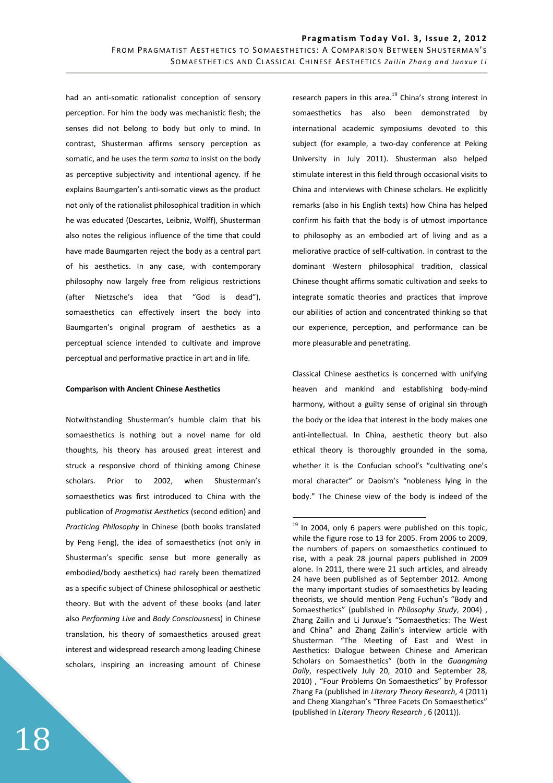$\overline{a}$ 

had an anti-somatic rationalist conception of sensory perception. For him the body was mechanistic flesh; the senses did not belong to body but only to mind. In contrast, Shusterman affirms sensory perception as somatic, and he uses the term *soma* to insist on the body as perceptive subjectivity and intentional agency. If he explains Baumgarten's anti-somatic views as the product not only of the rationalist philosophical tradition in which he was educated (Descartes, Leibniz, Wolff), Shusterman also notes the religious influence of the time that could have made Baumgarten reject the body as a central part of his aesthetics. In any case, with contemporary philosophy now largely free from religious restrictions (after Nietzsche's idea that "God is dead"), somaesthetics can effectively insert the body into Baumgarten's original program of aesthetics as a perceptual science intended to cultivate and improve perceptual and performative practice in art and in life.

# **Comparison with Ancient Chinese Aesthetics**

Notwithstanding Shusterman's humble claim that his somaesthetics is nothing but a novel name for old thoughts, his theory has aroused great interest and struck a responsive chord of thinking among Chinese scholars. Prior to 2002, when Shusterman's somaesthetics was first introduced to China with the publication of *Pragmatist Aesthetics* (second edition) and *Practicing Philosophy* in Chinese (both books translated by Peng Feng), the idea of somaesthetics (not only in Shusterman's specific sense but more generally as embodied/body aesthetics) had rarely been thematized as a specific subject of Chinese philosophical or aesthetic theory. But with the advent of these books (and later also *Performing Live* and *Body Consciousness*) in Chinese translation, his theory of somaesthetics aroused great interest and widespread research among leading Chinese scholars, inspiring an increasing amount of Chinese

research papers in this area. $^{19}$  China's strong interest in somaesthetics has also been demonstrated by international academic symposiums devoted to this subject (for example, a two-day conference at Peking University in July 2011). Shusterman also helped stimulate interest in this field through occasional visits to China and interviews with Chinese scholars. He explicitly remarks (also in his English texts) how China has helped confirm his faith that the body is of utmost importance to philosophy as an embodied art of living and as a meliorative practice of self-cultivation. In contrast to the dominant Western philosophical tradition, classical Chinese thought affirms somatic cultivation and seeks to integrate somatic theories and practices that improve our abilities of action and concentrated thinking so that our experience, perception, and performance can be more pleasurable and penetrating.

Classical Chinese aesthetics is concerned with unifying heaven and mankind and establishing body-mind harmony, without a guilty sense of original sin through the body or the idea that interest in the body makes one anti-intellectual. In China, aesthetic theory but also ethical theory is thoroughly grounded in the soma, whether it is the Confucian school's "cultivating one's moral character" or Daoism's "nobleness lying in the body." The Chinese view of the body is indeed of the

 $19$  In 2004, only 6 papers were published on this topic, while the figure rose to 13 for 2005. From 2006 to 2009, the numbers of papers on somaesthetics continued to rise, with a peak 28 journal papers published in 2009 alone. In 2011, there were 21 such articles, and already 24 have been published as of September 2012. Among the many important studies of somaesthetics by leading theorists, we should mention Peng Fuchun's "Body and Somaesthetics" (published in *Philosophy Study*, 2004) , Zhang Zailin and Li Junxue's "Somaesthetics: The West and China" and Zhang Zailin's interview article with Shusterman "The Meeting of East and West in Aesthetics: Dialogue between Chinese and American Scholars on Somaesthetics" (both in the *Guangming Daily*, respectively July 20, 2010 and September 28, 2010) , "Four Problems On Somaesthetics" by Professor Zhang Fa (published in *Literary Theory Research*, 4 (2011) and Cheng Xiangzhan's "Three Facets On Somaesthetics" (published in *Literary Theory Research* , 6 (2011)).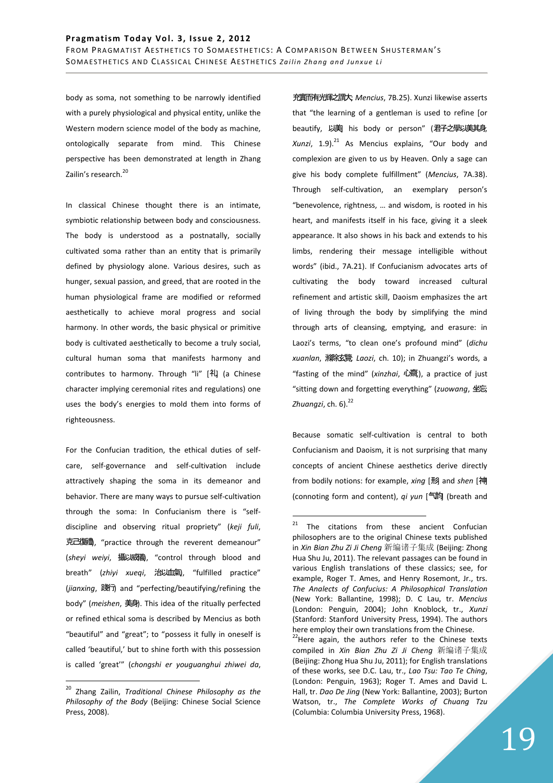body as soma, not something to be narrowly identified with a purely physiological and physical entity, unlike the Western modern science model of the body as machine, ontologically separate from mind. This Chinese perspective has been demonstrated at length in Zhang Zailin's research.<sup>20</sup>

In classical Chinese thought there is an intimate, symbiotic relationship between body and consciousness. The body is understood as a postnatally, socially cultivated soma rather than an entity that is primarily defined by physiology alone. Various desires, such as hunger, sexual passion, and greed, that are rooted in the human physiological frame are modified or reformed aesthetically to achieve moral progress and social harmony. In other words, the basic physical or primitive body is cultivated aesthetically to become a truly social, cultural human soma that manifests harmony and contributes to harmony. Through "li" [礼 (a Chinese character implying ceremonial rites and regulations) one uses the body's energies to mold them into forms of righteousness.

For the Confucian tradition, the ethical duties of selfcare, self-governance and self-cultivation include attractively shaping the soma in its demeanor and behavior. There are many ways to pursue self-cultivation through the soma: In Confucianism there is "selfdiscipline and observing ritual propriety" (*keji fuli*, 克己復働, "practice through the reverent demeanour" (sheyi weiyi, 攝以威義, "control through blood and breath" (zhiyi xueqi, 治以血氣), "fulfilled practice" (*jianxing*, 踐踐) and "perfecting/beautifying/refining the body" (*meishen*, 美美). This idea of the ritually perfected or refined ethical soma is described by Mencius as both "beautiful" and "great"; to "possess it fully in oneself is called 'beautiful,' but to shine forth with this possession is called 'great'" (*chongshi er youguanghui zhiwei da*,

 $\overline{a}$ 

充實而有光輝之謂大; *Mencius*, 7B.25). Xunzi likewise asserts that "the learning of a gentleman is used to refine [or beautify, 以美 his body or person" (君子之學以美其身, Xunzi, 1.9).<sup>21</sup> As Mencius explains, "Our body and complexion are given to us by Heaven. Only a sage can give his body complete fulfillment" (*Mencius*, 7A.38). Through self-cultivation, an exemplary person's "benevolence, rightness, … and wisdom, is rooted in his heart, and manifests itself in his face, giving it a sleek appearance. It also shows in his back and extends to his limbs, rendering their message intelligible without words" (ibid., 7A.21). If Confucianism advocates arts of cultivating the body toward increased cultural refinement and artistic skill, Daoism emphasizes the art of living through the body by simplifying the mind through arts of cleansing, emptying, and erasure: in Laozi's terms, "to clean one's profound mind" (*dichu xuanlan*, 滌滌滌滌; *Laozi*, ch. 10); in Zhuangzi's words, a "fasting of the mind" (xinzhai, 心<br>
<sub>(</sub> ), a practice of just "sitting down and forgetting everything" (*zuowang*, 坐忘; *Zhuangzi*, ch. 6).<sup>22</sup>

Because somatic self-cultivation is central to both Confucianism and Daoism, it is not surprising that many concepts of ancient Chinese aesthetics derive directly from bodily notions: for example, *xing* [形] and *shen* [神] (connoting form and content), *qi yun* [气气] (breath and

<sup>20</sup> Zhang Zailin, *Traditional Chinese Philosophy as the Philosophy of the Body* (Beijing: Chinese Social Science Press, 2008).

 $21$  The citations from these ancient Confucian philosophers are to the original Chinese texts published in *Xin Bian Zhu Zi Ji Cheng* 新编编子集成 (Beijing: Zhong Hua Shu Ju, 2011). The relevant passages can be found in various English translations of these classics; see, for example, Roger T. Ames, and Henry Rosemont, Jr., trs. *The Analects of Confucius: A Philosophical Translation* (New York: Ballantine, 1998); D. C Lau, tr. *Mencius* (London: Penguin, 2004); John Knoblock, tr., *Xunzi* (Stanford: Stanford University Press, 1994). The authors here employ their own translations from the Chinese.

<sup>&</sup>lt;sup>22</sup>Here again, the authors refer to the Chinese texts compiled in *Xin Bian Zhu Zi Ji Cheng* 新编编子集成 (Beijing: Zhong Hua Shu Ju, 2011); for English translations of these works, see D.C. Lau, tr., *Lao Tsu: Tao Te Ching*, (London: Penguin, 1963); Roger T. Ames and David L. Hall, tr. *Dao De Jing* (New York: Ballantine, 2003); Burton Watson, tr., *The Complete Works of Chuang Tzu* (Columbia: Columbia University Press, 1968).